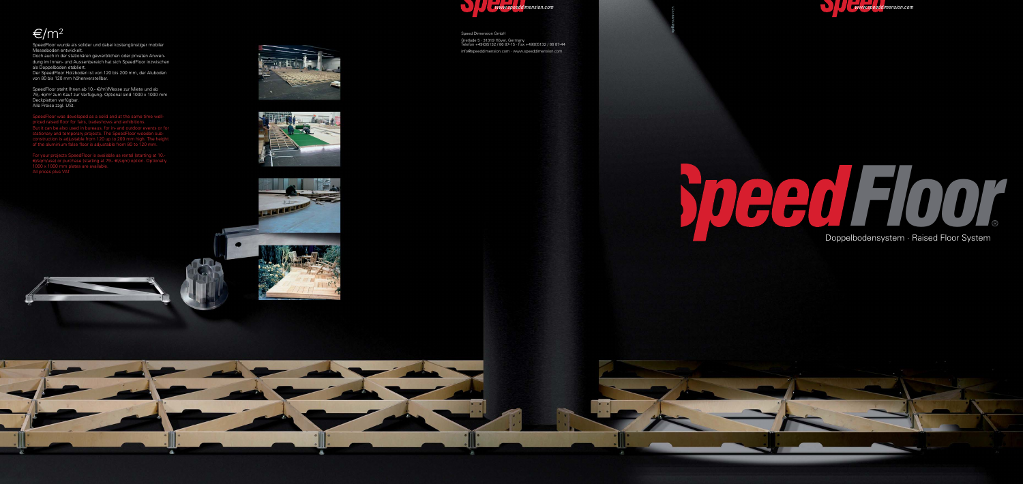Doppelbodensystem · Raised Floor System



Speed Dimension GmbH

# $\varepsilon/m^2$



 $\bullet$   $\bullet$ 



SpeedFloor wurde als solider und dabei kostengünstiger mobiler Messeboden entwickelt.

SpeedFloor steht Ihnen ab 10,- €/m<sup>2</sup>/Messe zur Miete und ab 79,- €/m<sup>2</sup> zum Kauf zur Verfügung. Optional sind 1000 x 1000 mm Deckplatten verfügbar. Alle Preise zzgl. USt.

Doch auch in der stationären gewerblichen oder privaten Anwendung im Innen- und Aussenbereich hat sich SpeedFloor inzwischen als Doppelboden etabliert.

Der SpeedFloor Holzboden ist von 120 bis 200 mm, der Aluboden von 80 bis 120 mm höhenverstellbar.

SpeedFloor was developed as a solid and at the same time wellpriced raised floor for fairs, tradeshows and exhibitions. But it can be also used in bureaus, for in- and outdoor events or for stationary and temporary projects. The SpeedFloor wooden subconstruction is adjustable from 120 up to 200 mm high. The height of the aluminium false floor is adjustable from 80 to 120 mm.

For your projects SpeedFloor is available as rental (starting at 10.-  $\in$ /sqm/use) or purchase (starting at 79.-  $\in$ /sqm) option. Optionally 1000 x 1000 mm plates are available.







ä. Æ.

# All prices plus VAT *Floor*®